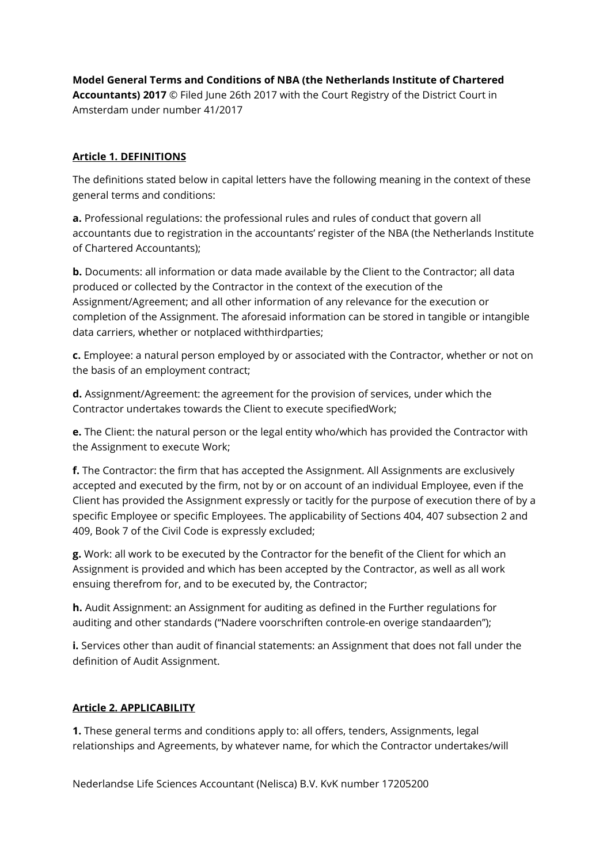Model General Terms and Conditions of NBA (the Netherlands Institute of Chartered Accountants) 2017 © Filed June 26th 2017 with the Court Registry of the District Court in Amsterdam under number 41/2017

#### Article 1. DEFINITIONS

The definitions stated below in capital letters have the following meaning in the context of these general terms and conditions:

a. Professional regulations: the professional rules and rules of conduct that govern all accountants due to registration in the accountants' register of the NBA (the Netherlands Institute of Chartered Accountants);

**b.** Documents: all information or data made available by the Client to the Contractor; all data produced or collected by the Contractor in the context of the execution of the Assignment/Agreement; and all other information of any relevance for the execution or completion of the Assignment. The aforesaid information can be stored in tangible or intangible data carriers, whether or notplaced withthirdparties;

c. Employee: a natural person employed by or associated with the Contractor, whether or not on the basis of an employment contract;

d. Assignment/Agreement: the agreement for the provision of services, under which the Contractor undertakes towards the Client to execute specifiedWork;

**e.** The Client: the natural person or the legal entity who/which has provided the Contractor with the Assignment to execute Work;

f. The Contractor: the firm that has accepted the Assignment. All Assignments are exclusively accepted and executed by the firm, not by or on account of an individual Employee, even if the Client has provided the Assignment expressly or tacitly for the purpose of execution there of by a specific Employee or specific Employees. The applicability of Sections 404, 407 subsection 2 and 409, Book 7 of the Civil Code is expressly excluded;

g. Work: all work to be executed by the Contractor for the benefit of the Client for which an Assignment is provided and which has been accepted by the Contractor, as well as all work ensuing therefrom for, and to be executed by, the Contractor;

h. Audit Assignment: an Assignment for auditing as defined in the Further regulations for auditing and other standards ("Nadere voorschriften controle-en overige standaarden");

i. Services other than audit of financial statements: an Assignment that does not fall under the definition of Audit Assignment.

#### Article 2. APPLICABILITY

**1.** These general terms and conditions apply to: all offers, tenders, Assignments, legal relationships and Agreements, by whatever name, for which the Contractor undertakes/will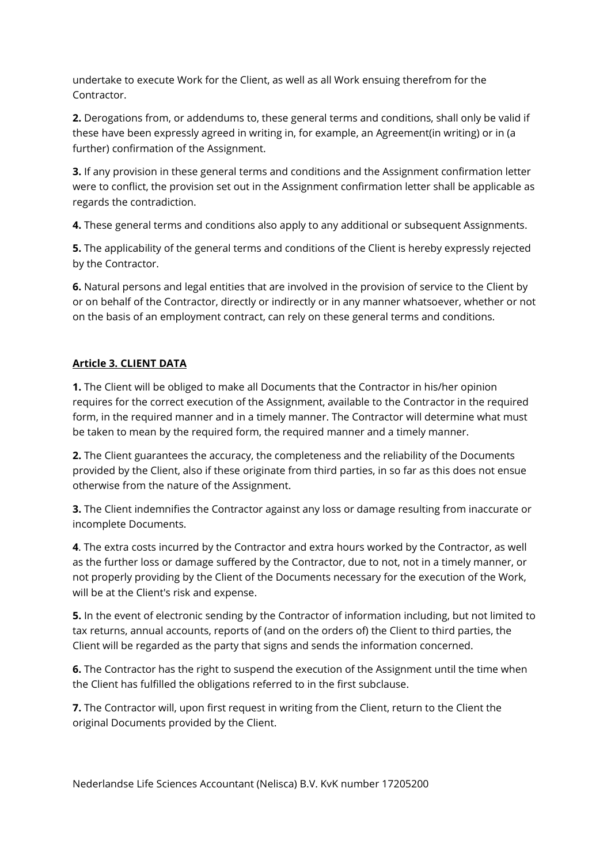undertake to execute Work for the Client, as well as all Work ensuing therefrom for the Contractor.

2. Derogations from, or addendums to, these general terms and conditions, shall only be valid if these have been expressly agreed in writing in, for example, an Agreement(in writing) or in (a further) confirmation of the Assignment.

**3.** If any provision in these general terms and conditions and the Assignment confirmation letter were to conflict, the provision set out in the Assignment confirmation letter shall be applicable as regards the contradiction.

4. These general terms and conditions also apply to any additional or subsequent Assignments.

5. The applicability of the general terms and conditions of the Client is hereby expressly rejected by the Contractor.

6. Natural persons and legal entities that are involved in the provision of service to the Client by or on behalf of the Contractor, directly or indirectly or in any manner whatsoever, whether or not on the basis of an employment contract, can rely on these general terms and conditions.

## Article 3. CLIENT DATA

1. The Client will be obliged to make all Documents that the Contractor in his/her opinion requires for the correct execution of the Assignment, available to the Contractor in the required form, in the required manner and in a timely manner. The Contractor will determine what must be taken to mean by the required form, the required manner and a timely manner.

2. The Client guarantees the accuracy, the completeness and the reliability of the Documents provided by the Client, also if these originate from third parties, in so far as this does not ensue otherwise from the nature of the Assignment.

**3.** The Client indemnifies the Contractor against any loss or damage resulting from inaccurate or incomplete Documents.

4. The extra costs incurred by the Contractor and extra hours worked by the Contractor, as well as the further loss or damage suffered by the Contractor, due to not, not in a timely manner, or not properly providing by the Client of the Documents necessary for the execution of the Work, will be at the Client's risk and expense.

5. In the event of electronic sending by the Contractor of information including, but not limited to tax returns, annual accounts, reports of (and on the orders of) the Client to third parties, the Client will be regarded as the party that signs and sends the information concerned.

**6.** The Contractor has the right to suspend the execution of the Assignment until the time when the Client has fulfilled the obligations referred to in the first subclause.

**7.** The Contractor will, upon first request in writing from the Client, return to the Client the original Documents provided by the Client.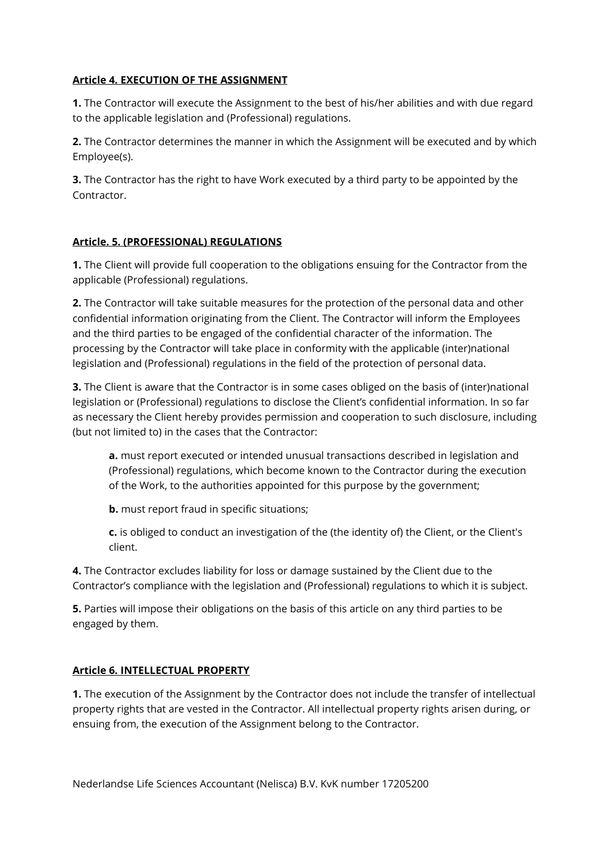#### Article 4. EXECUTION OF THE ASSIGNMENT

1. The Contractor will execute the Assignment to the best of his/her abilities and with due regard to the applicable legislation and (Professional) regulations.

2. The Contractor determines the manner in which the Assignment will be executed and by which Employee(s).

**3.** The Contractor has the right to have Work executed by a third party to be appointed by the Contractor.

### Article. 5. (PROFESSIONAL) REGULATIONS

1. The Client will provide full cooperation to the obligations ensuing for the Contractor from the applicable (Professional) regulations.

2. The Contractor will take suitable measures for the protection of the personal data and other confidential information originating from the Client. The Contractor will inform the Employees and the third parties to be engaged of the confidential character of the information. The processing by the Contractor will take place in conformity with the applicable (inter)national legislation and (Professional) regulations in the field of the protection of personal data.

3. The Client is aware that the Contractor is in some cases obliged on the basis of (inter)national legislation or (Professional) regulations to disclose the Client's confidential information. In so far as necessary the Client hereby provides permission and cooperation to such disclosure, including (but not limited to) in the cases that the Contractor:

a. must report executed or intended unusual transactions described in legislation and (Professional) regulations, which become known to the Contractor during the execution of the Work, to the authorities appointed for this purpose by the government;

**b.** must report fraud in specific situations;

c. is obliged to conduct an investigation of the (the identity of) the Client, or the Client's client.

4. The Contractor excludes liability for loss or damage sustained by the Client due to the Contractor's compliance with the legislation and (Professional) regulations to which it is subject.

5. Parties will impose their obligations on the basis of this article on any third parties to be engaged by them.

#### Article 6. INTELLECTUAL PROPERTY

1. The execution of the Assignment by the Contractor does not include the transfer of intellectual property rights that are vested in the Contractor. All intellectual property rights arisen during, or ensuing from, the execution of the Assignment belong to the Contractor.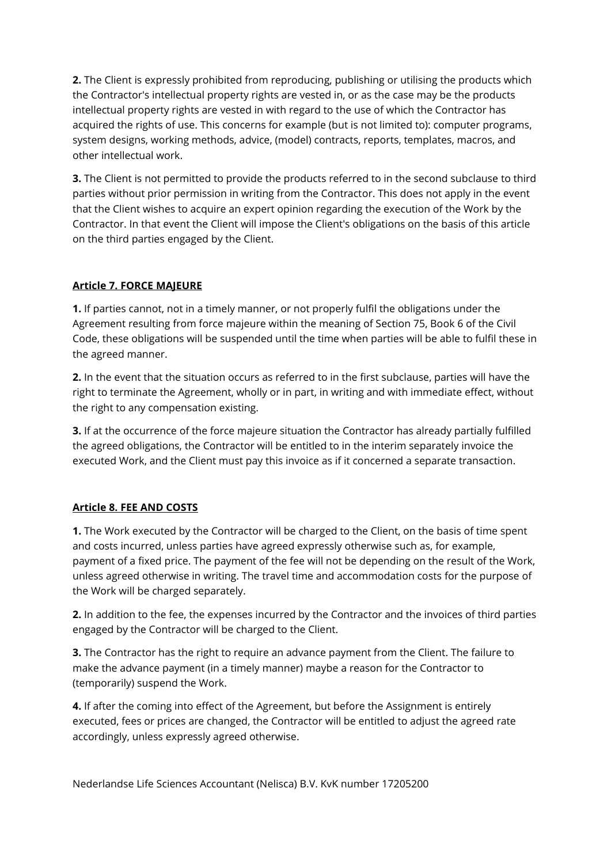2. The Client is expressly prohibited from reproducing, publishing or utilising the products which the Contractor's intellectual property rights are vested in, or as the case may be the products intellectual property rights are vested in with regard to the use of which the Contractor has acquired the rights of use. This concerns for example (but is not limited to): computer programs, system designs, working methods, advice, (model) contracts, reports, templates, macros, and other intellectual work.

**3.** The Client is not permitted to provide the products referred to in the second subclause to third parties without prior permission in writing from the Contractor. This does not apply in the event that the Client wishes to acquire an expert opinion regarding the execution of the Work by the Contractor. In that event the Client will impose the Client's obligations on the basis of this article on the third parties engaged by the Client.

### Article 7. FORCE MAJEURE

1. If parties cannot, not in a timely manner, or not properly fulfil the obligations under the Agreement resulting from force majeure within the meaning of Section 75, Book 6 of the Civil Code, these obligations will be suspended until the time when parties will be able to fulfil these in the agreed manner.

2. In the event that the situation occurs as referred to in the first subclause, parties will have the right to terminate the Agreement, wholly or in part, in writing and with immediate effect, without the right to any compensation existing.

**3.** If at the occurrence of the force majeure situation the Contractor has already partially fulfilled the agreed obligations, the Contractor will be entitled to in the interim separately invoice the executed Work, and the Client must pay this invoice as if it concerned a separate transaction.

#### Article 8. FEE AND COSTS

1. The Work executed by the Contractor will be charged to the Client, on the basis of time spent and costs incurred, unless parties have agreed expressly otherwise such as, for example, payment of a fixed price. The payment of the fee will not be depending on the result of the Work, unless agreed otherwise in writing. The travel time and accommodation costs for the purpose of the Work will be charged separately.

2. In addition to the fee, the expenses incurred by the Contractor and the invoices of third parties engaged by the Contractor will be charged to the Client.

**3.** The Contractor has the right to require an advance payment from the Client. The failure to make the advance payment (in a timely manner) maybe a reason for the Contractor to (temporarily) suspend the Work.

4. If after the coming into effect of the Agreement, but before the Assignment is entirely executed, fees or prices are changed, the Contractor will be entitled to adjust the agreed rate accordingly, unless expressly agreed otherwise.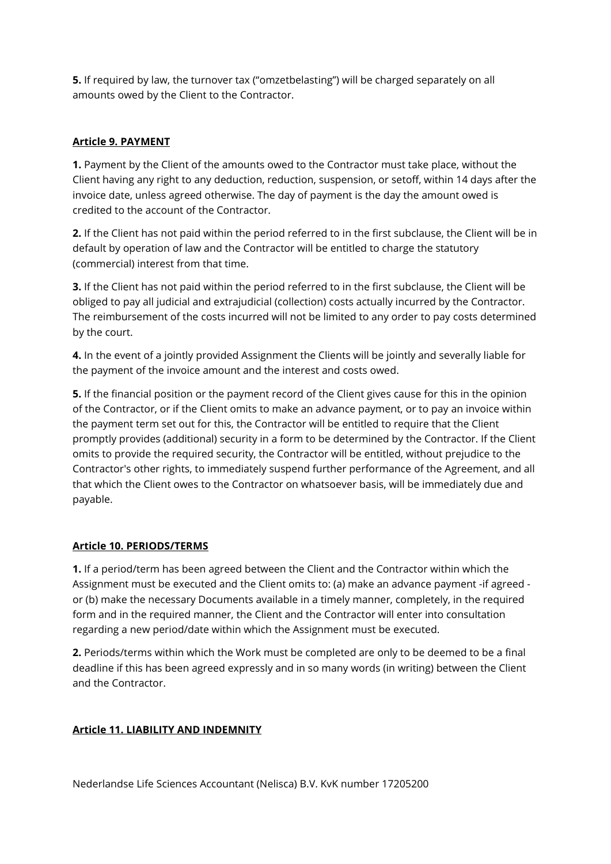5. If required by law, the turnover tax ("omzetbelasting") will be charged separately on all amounts owed by the Client to the Contractor.

### Article 9. PAYMENT

1. Payment by the Client of the amounts owed to the Contractor must take place, without the Client having any right to any deduction, reduction, suspension, or setoff, within 14 days after the invoice date, unless agreed otherwise. The day of payment is the day the amount owed is credited to the account of the Contractor.

2. If the Client has not paid within the period referred to in the first subclause, the Client will be in default by operation of law and the Contractor will be entitled to charge the statutory (commercial) interest from that time.

3. If the Client has not paid within the period referred to in the first subclause, the Client will be obliged to pay all judicial and extrajudicial (collection) costs actually incurred by the Contractor. The reimbursement of the costs incurred will not be limited to any order to pay costs determined by the court.

4. In the event of a jointly provided Assignment the Clients will be jointly and severally liable for the payment of the invoice amount and the interest and costs owed.

5. If the financial position or the payment record of the Client gives cause for this in the opinion of the Contractor, or if the Client omits to make an advance payment, or to pay an invoice within the payment term set out for this, the Contractor will be entitled to require that the Client promptly provides (additional) security in a form to be determined by the Contractor. If the Client omits to provide the required security, the Contractor will be entitled, without prejudice to the Contractor's other rights, to immediately suspend further performance of the Agreement, and all that which the Client owes to the Contractor on whatsoever basis, will be immediately due and payable.

#### Article 10. PERIODS/TERMS

1. If a period/term has been agreed between the Client and the Contractor within which the Assignment must be executed and the Client omits to: (a) make an advance payment -if agreed or (b) make the necessary Documents available in a timely manner, completely, in the required form and in the required manner, the Client and the Contractor will enter into consultation regarding a new period/date within which the Assignment must be executed.

2. Periods/terms within which the Work must be completed are only to be deemed to be a final deadline if this has been agreed expressly and in so many words (in writing) between the Client and the Contractor.

#### Article 11. LIABILITY AND INDEMNITY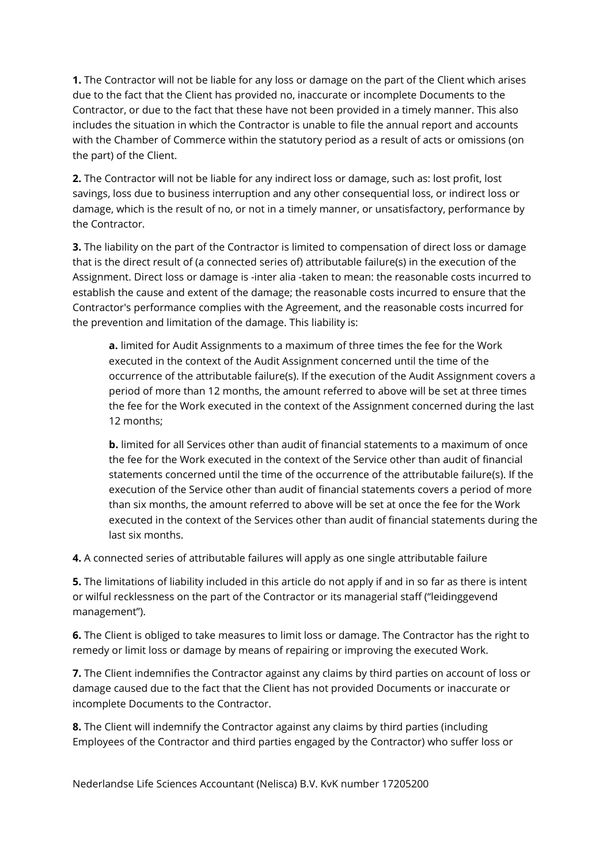1. The Contractor will not be liable for any loss or damage on the part of the Client which arises due to the fact that the Client has provided no, inaccurate or incomplete Documents to the Contractor, or due to the fact that these have not been provided in a timely manner. This also includes the situation in which the Contractor is unable to file the annual report and accounts with the Chamber of Commerce within the statutory period as a result of acts or omissions (on the part) of the Client.

2. The Contractor will not be liable for any indirect loss or damage, such as: lost profit, lost savings, loss due to business interruption and any other consequential loss, or indirect loss or damage, which is the result of no, or not in a timely manner, or unsatisfactory, performance by the Contractor.

**3.** The liability on the part of the Contractor is limited to compensation of direct loss or damage that is the direct result of (a connected series of) attributable failure(s) in the execution of the Assignment. Direct loss or damage is -inter alia -taken to mean: the reasonable costs incurred to establish the cause and extent of the damage; the reasonable costs incurred to ensure that the Contractor's performance complies with the Agreement, and the reasonable costs incurred for the prevention and limitation of the damage. This liability is:

a. limited for Audit Assignments to a maximum of three times the fee for the Work executed in the context of the Audit Assignment concerned until the time of the occurrence of the attributable failure(s). If the execution of the Audit Assignment covers a period of more than 12 months, the amount referred to above will be set at three times the fee for the Work executed in the context of the Assignment concerned during the last 12 months;

**b.** limited for all Services other than audit of financial statements to a maximum of once the fee for the Work executed in the context of the Service other than audit of financial statements concerned until the time of the occurrence of the attributable failure(s). If the execution of the Service other than audit of financial statements covers a period of more than six months, the amount referred to above will be set at once the fee for the Work executed in the context of the Services other than audit of financial statements during the last six months.

4. A connected series of attributable failures will apply as one single attributable failure

**5.** The limitations of liability included in this article do not apply if and in so far as there is intent or wilful recklessness on the part of the Contractor or its managerial staff ("leidinggevend management").

6. The Client is obliged to take measures to limit loss or damage. The Contractor has the right to remedy or limit loss or damage by means of repairing or improving the executed Work.

7. The Client indemnifies the Contractor against any claims by third parties on account of loss or damage caused due to the fact that the Client has not provided Documents or inaccurate or incomplete Documents to the Contractor.

8. The Client will indemnify the Contractor against any claims by third parties (including Employees of the Contractor and third parties engaged by the Contractor) who suffer loss or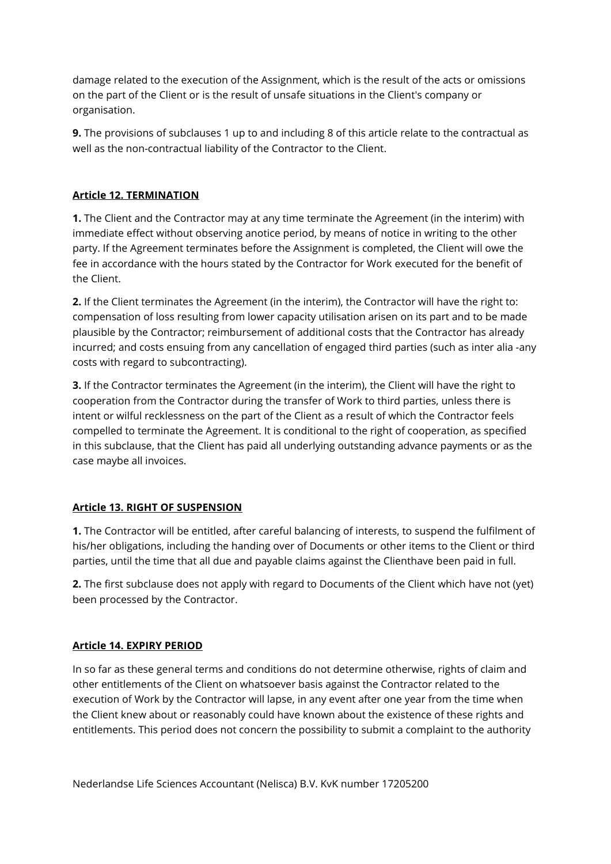damage related to the execution of the Assignment, which is the result of the acts or omissions on the part of the Client or is the result of unsafe situations in the Client's company or organisation.

9. The provisions of subclauses 1 up to and including 8 of this article relate to the contractual as well as the non-contractual liability of the Contractor to the Client.

### Article 12. TERMINATION

**1.** The Client and the Contractor may at any time terminate the Agreement (in the interim) with immediate effect without observing anotice period, by means of notice in writing to the other party. If the Agreement terminates before the Assignment is completed, the Client will owe the fee in accordance with the hours stated by the Contractor for Work executed for the benefit of the Client.

2. If the Client terminates the Agreement (in the interim), the Contractor will have the right to: compensation of loss resulting from lower capacity utilisation arisen on its part and to be made plausible by the Contractor; reimbursement of additional costs that the Contractor has already incurred; and costs ensuing from any cancellation of engaged third parties (such as inter alia -any costs with regard to subcontracting).

3. If the Contractor terminates the Agreement (in the interim), the Client will have the right to cooperation from the Contractor during the transfer of Work to third parties, unless there is intent or wilful recklessness on the part of the Client as a result of which the Contractor feels compelled to terminate the Agreement. It is conditional to the right of cooperation, as specified in this subclause, that the Client has paid all underlying outstanding advance payments or as the case maybe all invoices.

## Article 13. RIGHT OF SUSPENSION

1. The Contractor will be entitled, after careful balancing of interests, to suspend the fulfilment of his/her obligations, including the handing over of Documents or other items to the Client or third parties, until the time that all due and payable claims against the Clienthave been paid in full.

2. The first subclause does not apply with regard to Documents of the Client which have not (yet) been processed by the Contractor.

## Article 14. EXPIRY PERIOD

In so far as these general terms and conditions do not determine otherwise, rights of claim and other entitlements of the Client on whatsoever basis against the Contractor related to the execution of Work by the Contractor will lapse, in any event after one year from the time when the Client knew about or reasonably could have known about the existence of these rights and entitlements. This period does not concern the possibility to submit a complaint to the authority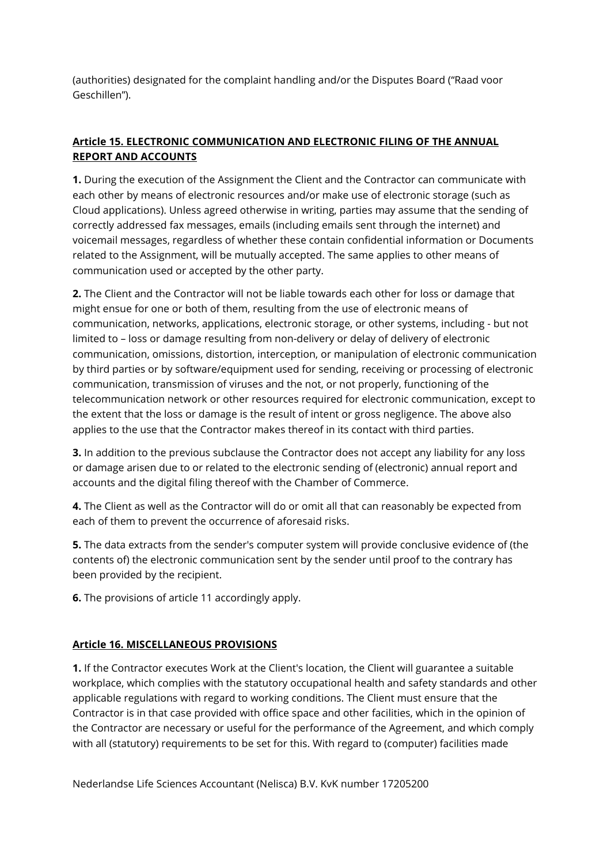(authorities) designated for the complaint handling and/or the Disputes Board ("Raad voor Geschillen").

# Article 15. ELECTRONIC COMMUNICATION AND ELECTRONIC FILING OF THE ANNUAL REPORT AND ACCOUNTS

1. During the execution of the Assignment the Client and the Contractor can communicate with each other by means of electronic resources and/or make use of electronic storage (such as Cloud applications). Unless agreed otherwise in writing, parties may assume that the sending of correctly addressed fax messages, emails (including emails sent through the internet) and voicemail messages, regardless of whether these contain confidential information or Documents related to the Assignment, will be mutually accepted. The same applies to other means of communication used or accepted by the other party.

2. The Client and the Contractor will not be liable towards each other for loss or damage that might ensue for one or both of them, resulting from the use of electronic means of communication, networks, applications, electronic storage, or other systems, including - but not limited to – loss or damage resulting from non-delivery or delay of delivery of electronic communication, omissions, distortion, interception, or manipulation of electronic communication by third parties or by software/equipment used for sending, receiving or processing of electronic communication, transmission of viruses and the not, or not properly, functioning of the telecommunication network or other resources required for electronic communication, except to the extent that the loss or damage is the result of intent or gross negligence. The above also applies to the use that the Contractor makes thereof in its contact with third parties.

3. In addition to the previous subclause the Contractor does not accept any liability for any loss or damage arisen due to or related to the electronic sending of (electronic) annual report and accounts and the digital filing thereof with the Chamber of Commerce.

4. The Client as well as the Contractor will do or omit all that can reasonably be expected from each of them to prevent the occurrence of aforesaid risks.

**5.** The data extracts from the sender's computer system will provide conclusive evidence of (the contents of) the electronic communication sent by the sender until proof to the contrary has been provided by the recipient.

6. The provisions of article 11 accordingly apply.

## Article 16. MISCELLANEOUS PROVISIONS

1. If the Contractor executes Work at the Client's location, the Client will guarantee a suitable workplace, which complies with the statutory occupational health and safety standards and other applicable regulations with regard to working conditions. The Client must ensure that the Contractor is in that case provided with office space and other facilities, which in the opinion of the Contractor are necessary or useful for the performance of the Agreement, and which comply with all (statutory) requirements to be set for this. With regard to (computer) facilities made